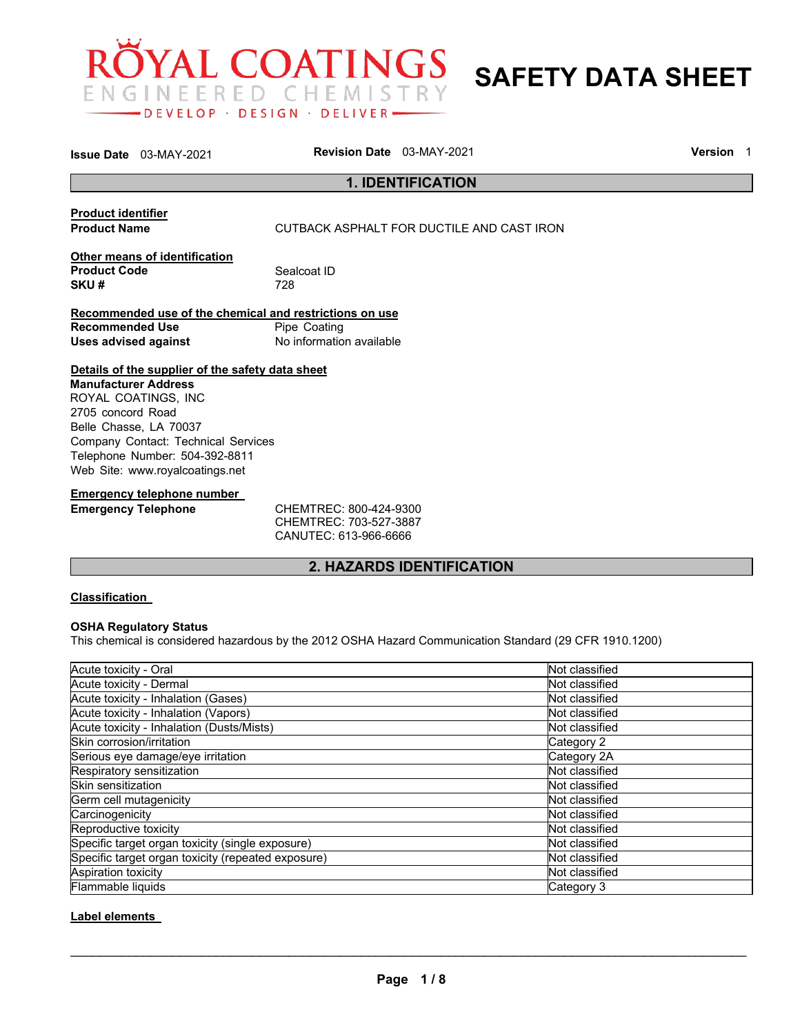

**SAFETY DATA SHEET** 

|                             | <b>Issue Date</b> 03-MAY-2021                    | <b>Revision Date</b> 03-MAY-2021                        |                                           | <b>Version</b> 1 |
|-----------------------------|--------------------------------------------------|---------------------------------------------------------|-------------------------------------------|------------------|
|                             |                                                  |                                                         | <b>1. IDENTIFICATION</b>                  |                  |
| <b>Product identifier</b>   |                                                  |                                                         |                                           |                  |
| <b>Product Name</b>         |                                                  |                                                         | CUTBACK ASPHALT FOR DUCTILE AND CAST IRON |                  |
|                             | Other means of identification                    |                                                         |                                           |                  |
| <b>Product Code</b>         |                                                  | Sealcoat ID                                             |                                           |                  |
| SKU#                        |                                                  | 728                                                     |                                           |                  |
|                             |                                                  | Recommended use of the chemical and restrictions on use |                                           |                  |
| <b>Recommended Use</b>      |                                                  | Pipe Coating                                            |                                           |                  |
| <b>Uses advised against</b> |                                                  | No information available                                |                                           |                  |
|                             | Details of the supplier of the safety data sheet |                                                         |                                           |                  |
| <b>Manufacturer Address</b> |                                                  |                                                         |                                           |                  |
|                             | ROYAL COATINGS, INC                              |                                                         |                                           |                  |
| 2705 concord Road           |                                                  |                                                         |                                           |                  |
|                             | Belle Chasse, LA 70037                           |                                                         |                                           |                  |
|                             | Company Contact: Technical Services              |                                                         |                                           |                  |
|                             | Telephone Number: 504-392-8811                   |                                                         |                                           |                  |
|                             | Web Site: www.royalcoatings.net                  |                                                         |                                           |                  |
|                             | <b>Emergency telephone number</b>                |                                                         |                                           |                  |
| Emargancy Talanhana         |                                                  | CHEMIDEC - 200 121 0300                                 |                                           |                  |

**Emergency Telephone** CHEMTREC: 800-424-9300 CHEMTREC: 703-527-3887 CANUTEC: 613-966-6666

# **2. HAZARDS IDENTIFICATION**

# **Classification**

# **OSHA Regulatory Status**

This chemical is considered hazardous by the 2012 OSHA Hazard Communication Standard (29 CFR 1910.1200)

| Acute toxicity - Oral                              | Not classified |
|----------------------------------------------------|----------------|
| Acute toxicity - Dermal                            | Not classified |
| Acute toxicity - Inhalation (Gases)                | Not classified |
| Acute toxicity - Inhalation (Vapors)               | Not classified |
| Acute toxicity - Inhalation (Dusts/Mists)          | Not classified |
| Skin corrosion/irritation                          | Category 2     |
| Serious eye damage/eye irritation                  | Category 2A    |
| Respiratory sensitization                          | Not classified |
| Skin sensitization                                 | Not classified |
| Germ cell mutagenicity                             | Not classified |
| Carcinogenicity                                    | Not classified |
| Reproductive toxicity                              | Not classified |
| Specific target organ toxicity (single exposure)   | Not classified |
| Specific target organ toxicity (repeated exposure) | Not classified |
| Aspiration toxicity                                | Not classified |
| Flammable liquids                                  | Category 3     |

# **Label elements**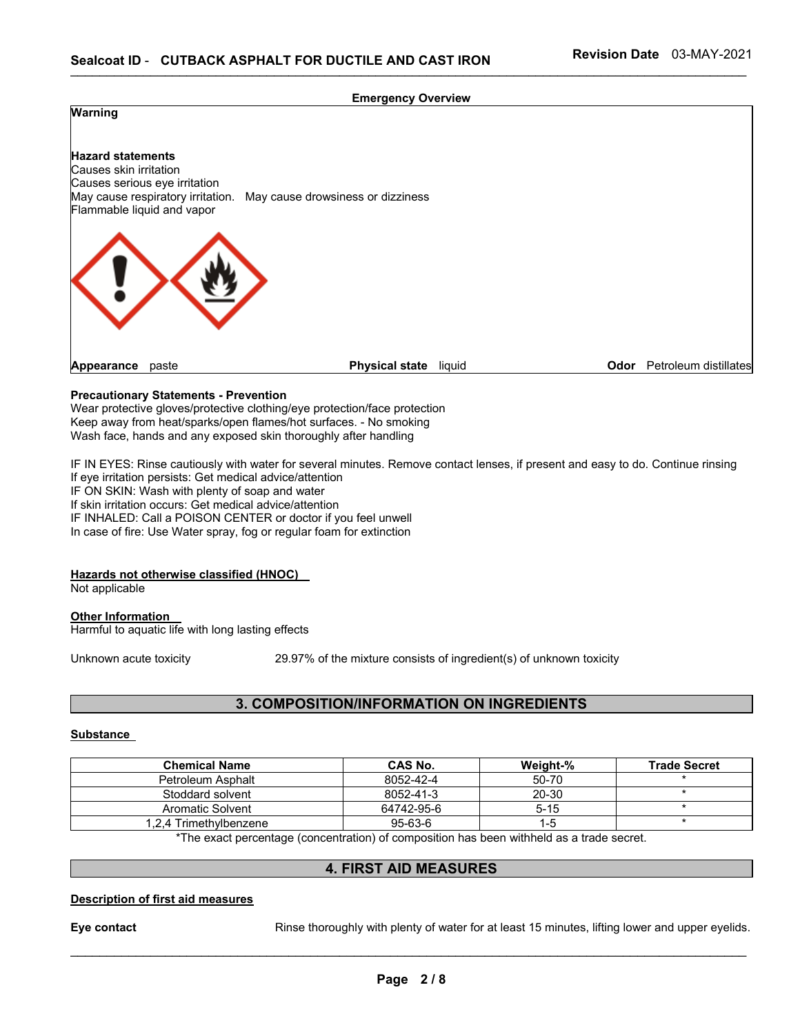### **Emergency Overview**



# **Precautionary Statements - Prevention**

Wear protective gloves/protective clothing/eye protection/face protection Keep away from heat/sparks/open flames/hot surfaces. - No smoking Wash face, hands and any exposed skin thoroughly after handling

IF IN EYES: Rinse cautiously with water for several minutes. Remove contact lenses, if present and easy to do. Continue rinsing If eye irritation persists: Get medical advice/attention IF ON SKIN: Wash with plenty of soap and water If skin irritation occurs: Get medical advice/attention IF INHALED: Call a POISON CENTER or doctor if you feel unwell In case of fire: Use Water spray, fog or regular foam for extinction

#### **Hazards not otherwise classified (HNOC)**

Not applicable

### **Other Information**  Harmful to aquatic life with long lasting effects

Unknown acute toxicity 29.97% of the mixture consists of ingredient(s) of unknown toxicity

# **3. COMPOSITION/INFORMATION ON INGREDIENTS**

# **Substance**

| <b>Chemical Name</b>   | CAS No.       | Weight-% | <b>Trade Secret</b> |
|------------------------|---------------|----------|---------------------|
| Petroleum Asphalt      | 8052-42-4     | 50-70    |                     |
| Stoddard solvent       | 8052-41-3     | 20-30    |                     |
| Aromatic Solvent       | 64742-95-6    | $5 - 15$ |                     |
| 1.2.4 Trimethvlbenzene | $95 - 63 - 6$ | $1 - 5$  |                     |

\*The exact percentage (concentration) of composition has been withheld as a trade secret.

# **4. FIRST AID MEASURES**

#### **Description of first aid measures**

**Eye contact Rinse thoroughly with plenty of water for at least 15 minutes, lifting lower and upper eyelids.**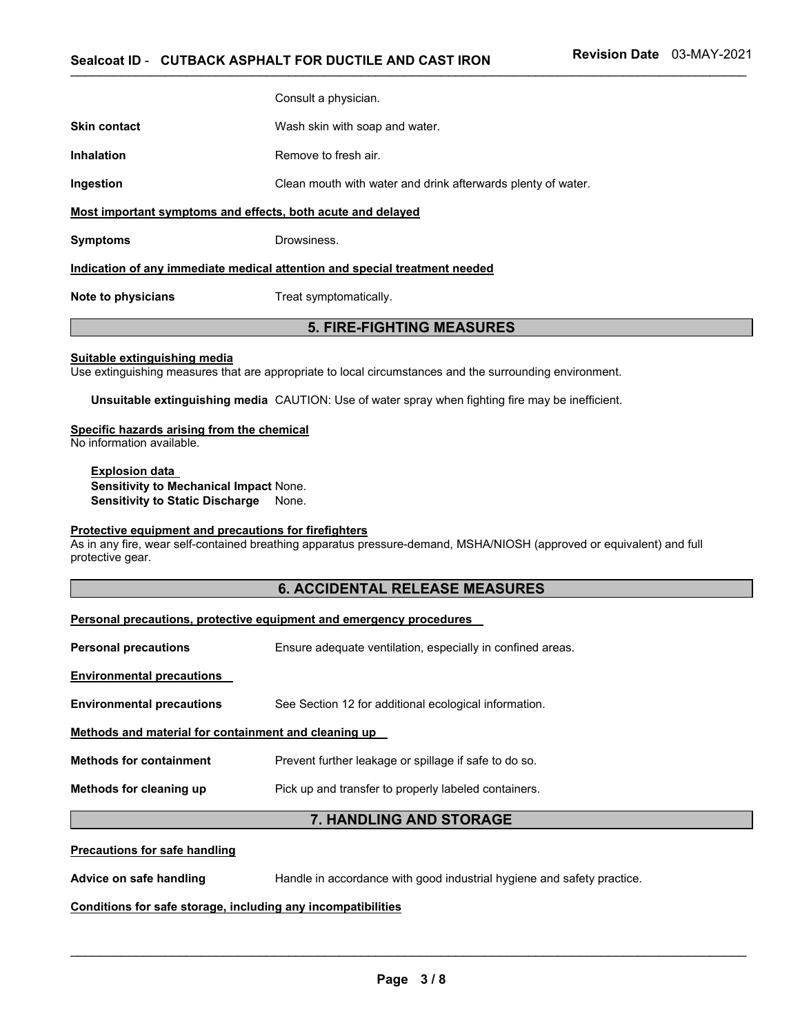|                                                                            | Consult a physician.           |  |  |  |
|----------------------------------------------------------------------------|--------------------------------|--|--|--|
| <b>Skin contact</b>                                                        | Wash skin with soap and water. |  |  |  |
| Inhalation                                                                 | Remove to fresh air.           |  |  |  |
| Clean mouth with water and drink afterwards plenty of water.<br>Ingestion  |                                |  |  |  |
| Most important symptoms and effects, both acute and delayed                |                                |  |  |  |
| <b>Symptoms</b>                                                            | Drowsiness.                    |  |  |  |
| Indication of any immediate medical attention and special treatment needed |                                |  |  |  |

**Note to physicians Treat symptomatically.** 

# **5. FIRE-FIGHTING MEASURES**

### **Suitable extinguishing media**

Use extinguishing measures that are appropriate to local circumstances and the surrounding environment.

**Unsuitable extinguishing media** CAUTION: Use of water spray when fighting fire may be inefficient.

# **Specific hazards arising from the chemical**

No information available.

**Explosion data Sensitivity to Mechanical Impact** None. **Sensitivity to Static Discharge** None.

## **Protective equipment and precautions for firefighters**

As in any fire, wear self-contained breathing apparatus pressure-demand, MSHA/NIOSH (approved or equivalent) and full protective gear.

# **6. ACCIDENTAL RELEASE MEASURES**

| Personal precautions, protective equipment and emergency procedures |                                                            |  |  |  |
|---------------------------------------------------------------------|------------------------------------------------------------|--|--|--|
| <b>Personal precautions</b>                                         | Ensure adequate ventilation, especially in confined areas. |  |  |  |
| <b>Environmental precautions</b>                                    |                                                            |  |  |  |
| <b>Environmental precautions</b>                                    | See Section 12 for additional ecological information.      |  |  |  |
| Methods and material for containment and cleaning up                |                                                            |  |  |  |
| <b>Methods for containment</b>                                      | Prevent further leakage or spillage if safe to do so.      |  |  |  |
| Methods for cleaning up                                             | Pick up and transfer to properly labeled containers.       |  |  |  |
| 7. HANDLING AND STORAGE                                             |                                                            |  |  |  |
| <b>Precautions for safe handling</b>                                |                                                            |  |  |  |
|                                                                     |                                                            |  |  |  |

#### **Precautions for safe handling**

**Advice on safe handling** Handle in accordance with good industrial hygiene and safety practice.

# **Conditions for safe storage, including any incompatibilities**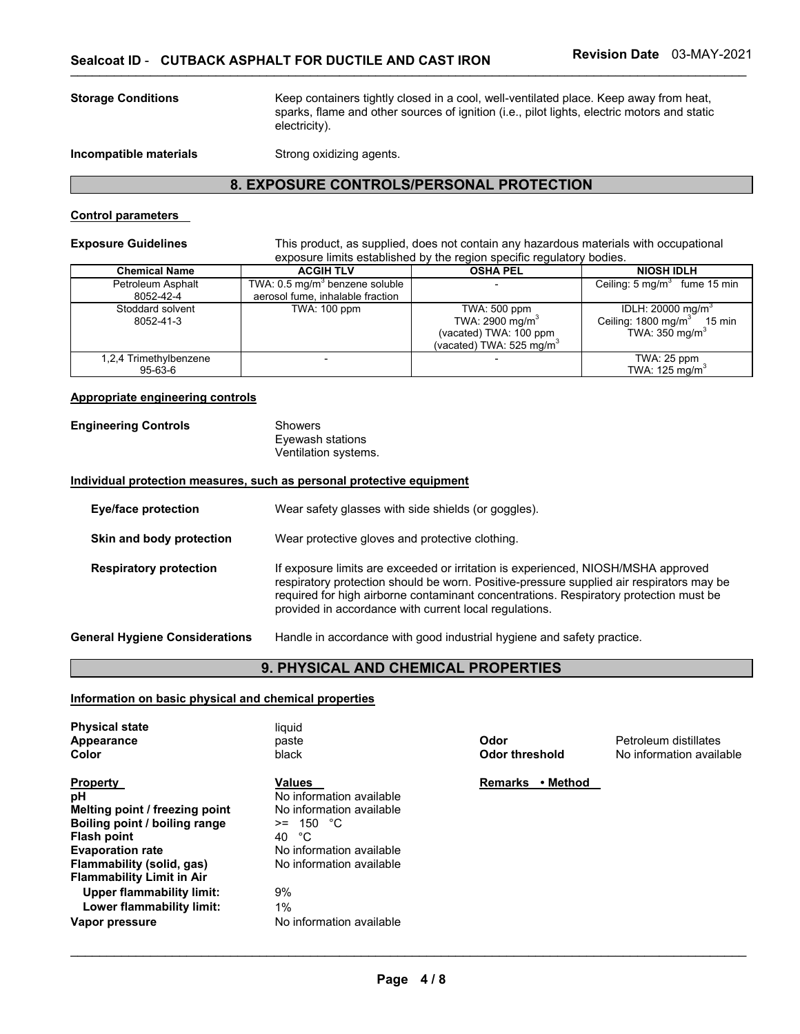**Storage Conditions** Keep containers tightly closed in a cool, well-ventilated place. Keep away from heat, sparks, flame and other sources of ignition (i.e., pilot lights, electric motors and static electricity).

**Incompatible materials Strong oxidizing agents.** 

# **8. EXPOSURE CONTROLS/PERSONAL PROTECTION**

## **Control parameters**

**Exposure Guidelines** This product, as supplied, does not contain any hazardous materials with occupational exposure limits established by the region specific regulatory bodies.

| <b>Chemical Name</b>           | <b>ACGIH TLV</b>                                                               | <b>OSHA PEL</b>                                                                                               | <b>NIOSH IDLH</b>                                                                                         |
|--------------------------------|--------------------------------------------------------------------------------|---------------------------------------------------------------------------------------------------------------|-----------------------------------------------------------------------------------------------------------|
| Petroleum Asphalt<br>8052-42-4 | TWA: 0.5 mg/m <sup>3</sup> benzene soluble<br>aerosol fume, inhalable fraction |                                                                                                               | Ceiling: $5 \text{ mg/m}^3$ fume 15 min                                                                   |
| Stoddard solvent<br>8052-41-3  | <b>TWA: 100 ppm</b>                                                            | TWA: 500 ppm<br>TWA: 2900 mg/m <sup>3</sup><br>(vacated) TWA: 100 ppm<br>(vacated) TWA: 525 mg/m <sup>3</sup> | IDLH: $20000 \text{ mg/m}^3$<br>Ceiling: 1800 mg/m <sup>3</sup><br>15 min<br>TWA: $350$ mg/m <sup>3</sup> |
| 1,2,4 Trimethylbenzene         |                                                                                |                                                                                                               | $TWA: 25$ ppm                                                                                             |
| 95-63-6                        |                                                                                |                                                                                                               | TWA: 125 mg/m <sup>3</sup>                                                                                |

### **Appropriate engineering controls**

| <b>Engineering Controls</b> | Showers              |  |
|-----------------------------|----------------------|--|
|                             | Eyewash stations     |  |
|                             | Ventilation systems. |  |

#### **Individual protection measures, such as personal protective equipment**

| Eye/face protection                   | Wear safety glasses with side shields (or goggles).                                                                                                                                                                                                                                                                              |
|---------------------------------------|----------------------------------------------------------------------------------------------------------------------------------------------------------------------------------------------------------------------------------------------------------------------------------------------------------------------------------|
| Skin and body protection              | Wear protective gloves and protective clothing.                                                                                                                                                                                                                                                                                  |
| <b>Respiratory protection</b>         | If exposure limits are exceeded or irritation is experienced, NIOSH/MSHA approved<br>respiratory protection should be worn. Positive-pressure supplied air respirators may be<br>required for high airborne contaminant concentrations. Respiratory protection must be<br>provided in accordance with current local regulations. |
| <b>General Hygiene Considerations</b> | Handle in accordance with good industrial hygiene and safety practice.                                                                                                                                                                                                                                                           |

# **9. PHYSICAL AND CHEMICAL PROPERTIES**

**Information on basic physical and chemical properties**

| <b>Physical state</b><br>Appearance<br>Color                                                                                                                                                                                                                                           | liquid<br>paste<br>black                                                                                                                                                                         | Odor<br>Odor threshold     | Petroleum distillates<br>No information available |
|----------------------------------------------------------------------------------------------------------------------------------------------------------------------------------------------------------------------------------------------------------------------------------------|--------------------------------------------------------------------------------------------------------------------------------------------------------------------------------------------------|----------------------------|---------------------------------------------------|
| <b>Property</b><br>рH<br>Melting point / freezing point<br>Boiling point / boiling range<br><b>Flash point</b><br><b>Evaporation rate</b><br>Flammability (solid, gas)<br><b>Flammability Limit in Air</b><br>Upper flammability limit:<br>Lower flammability limit:<br>Vapor pressure | <b>Values</b><br>No information available<br>No information available<br>$>= 150 °C$<br>°€<br>40<br>No information available<br>No information available<br>9%<br>1%<br>No information available | • Method<br><b>Remarks</b> |                                                   |
|                                                                                                                                                                                                                                                                                        |                                                                                                                                                                                                  |                            |                                                   |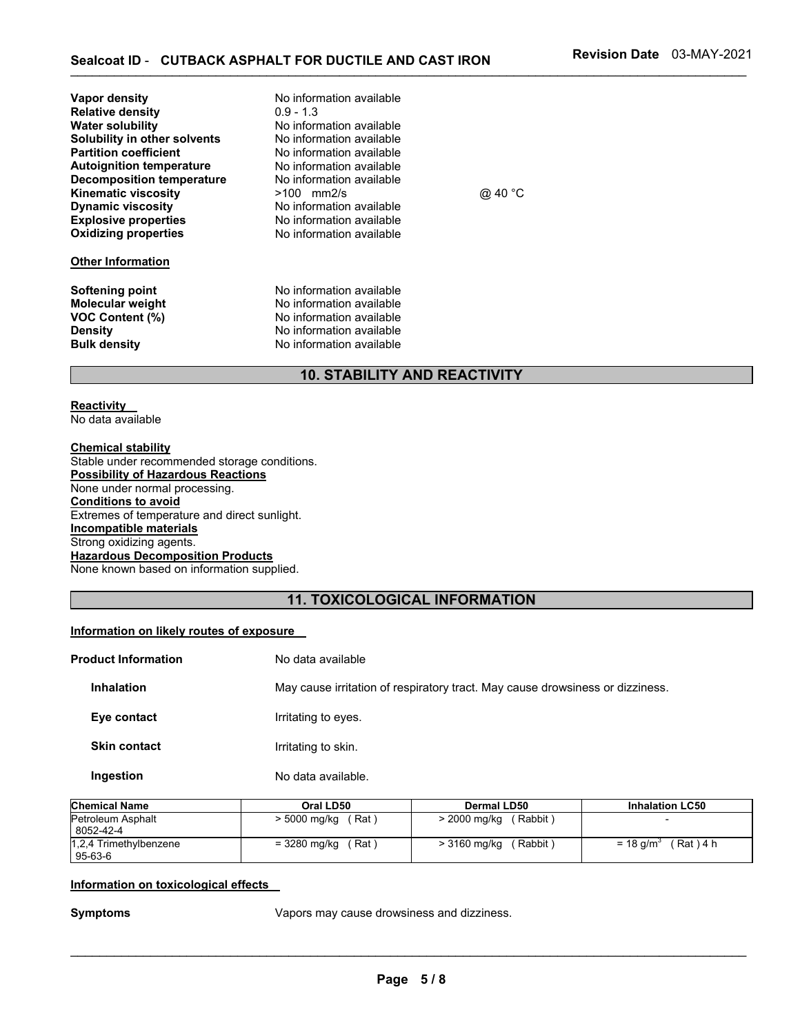| Vapor density<br><b>Relative density</b><br><b>Water solubility</b><br>Solubility in other solvents<br><b>Partition coefficient</b><br><b>Autoignition temperature</b><br><b>Decomposition temperature</b><br><b>Kinematic viscosity</b><br><b>Dynamic viscosity</b><br><b>Explosive properties</b><br><b>Oxidizing properties</b><br><b>Other Information</b> | No information available<br>$0.9 - 1.3$<br>No information available<br>No information available<br>No information available<br>No information available<br>No information available<br>$>100$ mm2/s<br>No information available<br>No information available<br>No information available | @ 40 °C |
|----------------------------------------------------------------------------------------------------------------------------------------------------------------------------------------------------------------------------------------------------------------------------------------------------------------------------------------------------------------|-----------------------------------------------------------------------------------------------------------------------------------------------------------------------------------------------------------------------------------------------------------------------------------------|---------|
| Softening point<br><b>Molecular weight</b><br><b>VOC Content (%)</b><br><b>Density</b>                                                                                                                                                                                                                                                                         | No information available<br>No information available<br>No information available<br>No information available<br>No information available                                                                                                                                                |         |
| <b>Bulk density</b>                                                                                                                                                                                                                                                                                                                                            | <b>10. STABILITY AND REACTIVITY</b>                                                                                                                                                                                                                                                     |         |

#### **Reactivity**  No data available

**Chemical stability** Stable under recommended storage conditions. **Possibility of Hazardous Reactions** None under normal processing. **Conditions to avoid** Extremes of temperature and direct sunlight. **Incompatible materials** Strong oxidizing agents. **Hazardous Decomposition Products** None known based on information supplied.

# **11. TOXICOLOGICAL INFORMATION**

# **Information on likely routes of exposure**

| <b>Product Information</b> |                     | No data available                                                             |
|----------------------------|---------------------|-------------------------------------------------------------------------------|
|                            | <b>Inhalation</b>   | May cause irritation of respiratory tract. May cause drowsiness or dizziness. |
|                            | Eye contact         | Irritating to eyes.                                                           |
|                            | <b>Skin contact</b> | Irritating to skin.                                                           |
|                            | Ingestion           | No data available.                                                            |

| <b>Chemical Name</b>   | Oral LD50    | <b>Dermal LD50</b>        | <b>Inhalation LC50</b>  |
|------------------------|--------------|---------------------------|-------------------------|
| Petroleum Asphalt      | > 5000 mg/kg | (Rabbit)                  |                         |
| 8052-42-4              | (Rat)        | $> 2000 \,\mathrm{mq/kg}$ |                         |
| 1,2,4 Trimethylbenzene | (Rat)        | (Rabbit)                  | (Rat) 4 h               |
| $95 - 63 - 6$          | = 3280 mg/kg | > 3160 mg/kg              | $=$ 18 g/m <sup>3</sup> |

#### **Information on toxicological effects**

**Symptoms** Vapors may cause drowsiness and dizziness.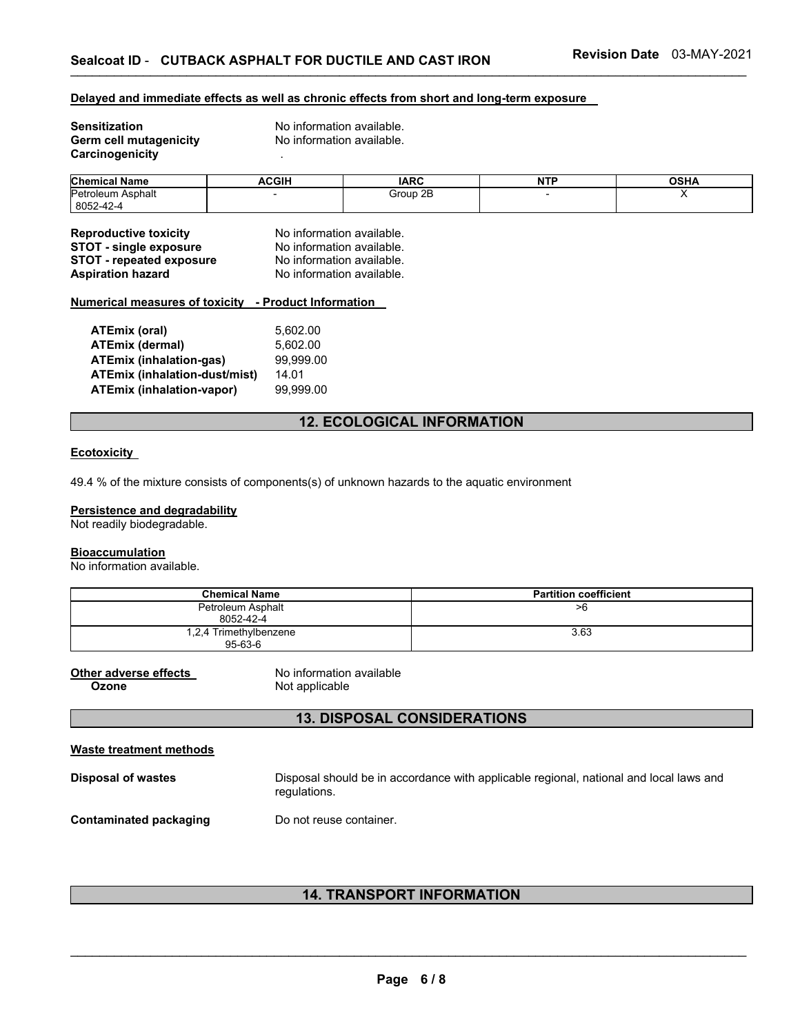#### **Delayed and immediate effects as well as chronic effects from short and long-term exposure**

| <b>Sensitization</b>   | No information available. |
|------------------------|---------------------------|
| Germ cell mutagenicity | No information available. |
| Carcinogenicity        |                           |

| <b>Chemical</b><br><b>Name</b> | <b>ACGIP</b> | <b>IARC</b> | NTE | <b>OCUA</b><br>אחסט |
|--------------------------------|--------------|-------------|-----|---------------------|
| Petroleum<br>Asphalt           |              | Group 2B    |     |                     |
| 8052-42-4                      |              |             |     |                     |

| <b>Reproductive toxicity</b>    | No information available. |
|---------------------------------|---------------------------|
| <b>STOT - single exposure</b>   | No information available. |
| <b>STOT - repeated exposure</b> | No information available. |
| <b>Aspiration hazard</b>        | No information available. |

#### **Numerical measures of toxicity - Product Information**

| 5.602.00  |
|-----------|
| 5.602.00  |
| 99.999.00 |
| 14.01     |
| 99.999.00 |
|           |

# **12. ECOLOGICAL INFORMATION**

# **Ecotoxicity**

49.4 % of the mixture consists of components(s) of unknown hazards to the aquatic environment

# **Persistence and degradability**

Not readily biodegradable.

## **Bioaccumulation**

No information available.

| <b>Chemical Name</b>              | <b>Partition coefficient</b> |
|-----------------------------------|------------------------------|
| Petroleum Asphalt<br>8052-42-4    | >6                           |
| 1,2,4 Trimethylbenzene<br>95-63-6 | 3.63                         |

**Other adverse effects** No information available Not applicable

# **13. DISPOSAL CONSIDERATIONS**

| Waste treatment methods |                                                                                                        |
|-------------------------|--------------------------------------------------------------------------------------------------------|
| Disposal of wastes      | Disposal should be in accordance with applicable regional, national and local laws and<br>requiations. |
| Contaminated packaging  | Do not reuse container.                                                                                |

# **14. TRANSPORT INFORMATION**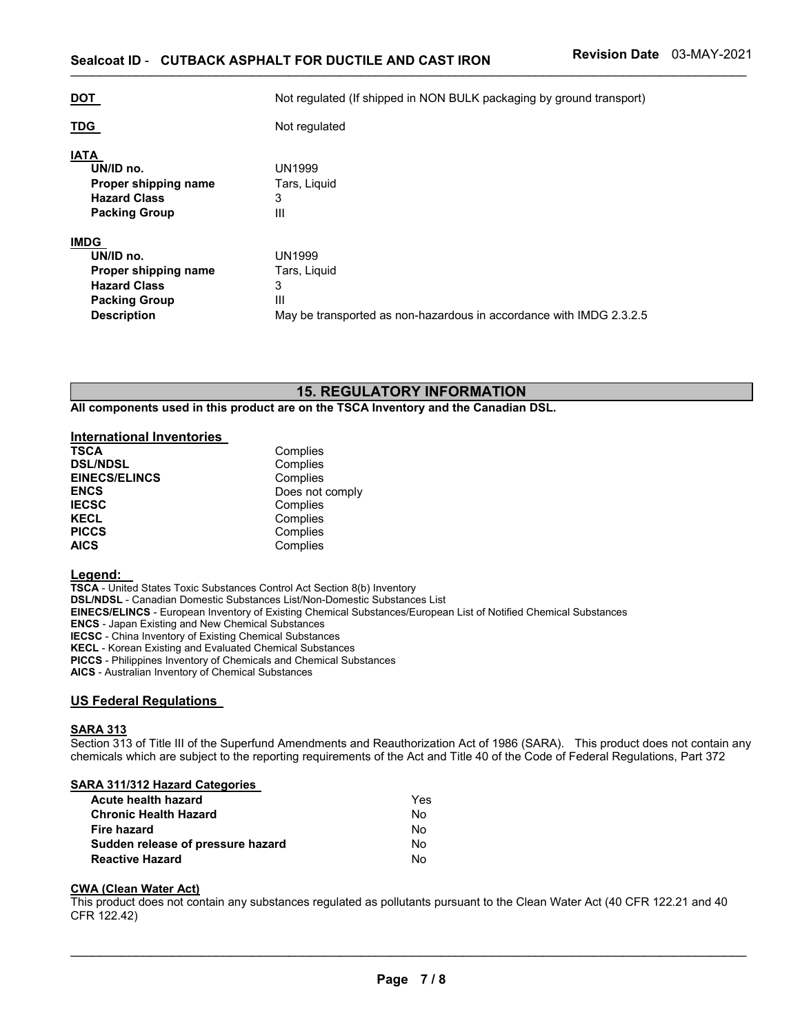| <b>DOT</b>                                                                                                            | Not regulated (If shipped in NON BULK packaging by ground transport)                                           |
|-----------------------------------------------------------------------------------------------------------------------|----------------------------------------------------------------------------------------------------------------|
| <b>TDG</b>                                                                                                            | Not regulated                                                                                                  |
| <b>IATA</b><br>UN/ID no.<br>Proper shipping name<br><b>Hazard Class</b><br><b>Packing Group</b>                       | UN1999<br>Tars, Liguid<br>3<br>$\mathbf{III}$                                                                  |
| <b>IMDG</b><br>UN/ID no.<br>Proper shipping name<br><b>Hazard Class</b><br><b>Packing Group</b><br><b>Description</b> | <b>UN1999</b><br>Tars, Liguid<br>3<br>Ш<br>May be transported as non-hazardous in accordance with IMDG 2.3.2.5 |

# **15. REGULATORY INFORMATION**

**All components used in this product are on the TSCA Inventory and the Canadian DSL.** 

### **International Inventories**

| <b>TSCA</b>          | Complies        |
|----------------------|-----------------|
| <b>DSL/NDSL</b>      | Complies        |
| <b>EINECS/ELINCS</b> | Complies        |
| <b>ENCS</b>          | Does not comply |
| <b>IECSC</b>         | Complies        |
| <b>KECL</b>          | Complies        |
| <b>PICCS</b>         | Complies        |
| <b>AICS</b>          | Complies        |

# **Legend:**

**TSCA** - United States Toxic Substances Control Act Section 8(b) Inventory **DSL/NDSL** - Canadian Domestic Substances List/Non-Domestic Substances List **EINECS/ELINCS** - European Inventory of Existing Chemical Substances/European List of Notified Chemical Substances **ENCS** - Japan Existing and New Chemical Substances **IECSC** - China Inventory of Existing Chemical Substances **KECL** - Korean Existing and Evaluated Chemical Substances **PICCS** - Philippines Inventory of Chemicals and Chemical Substances **AICS** - Australian Inventory of Chemical Substances

# **US Federal Regulations**

#### **SARA 313**

Section 313 of Title III of the Superfund Amendments and Reauthorization Act of 1986 (SARA). This product does not contain any chemicals which are subject to the reporting requirements of the Act and Title 40 of the Code of Federal Regulations, Part 372

# **SARA 311/312 Hazard Categories**

| Yes |
|-----|
| No. |
| No. |
| No. |
| N٥  |
|     |

#### **CWA (Clean Water Act)**

This product does not contain any substances regulated as pollutants pursuant to the Clean Water Act (40 CFR 122.21 and 40 CFR 122.42)